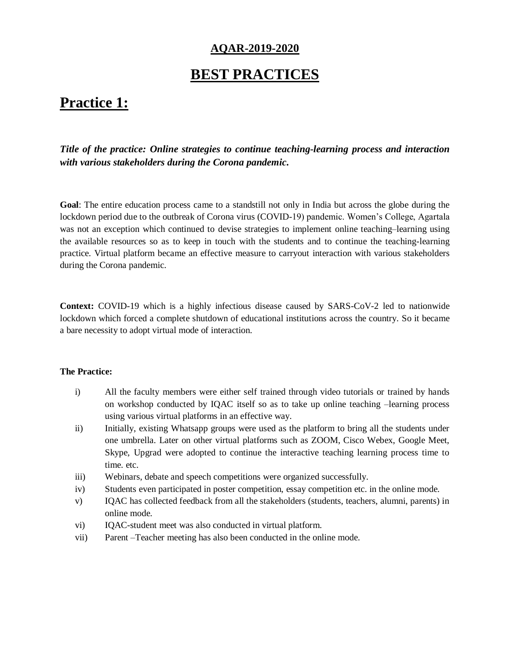### **AQAR-2019-2020**

## **BEST PRACTICES**

# **Practice 1:**

*Title of the practice: Online strategies to continue teaching-learning process and interaction with various stakeholders during the Corona pandemic.*

**Goal**: The entire education process came to a standstill not only in India but across the globe during the lockdown period due to the outbreak of Corona virus (COVID-19) pandemic. Women's College, Agartala was not an exception which continued to devise strategies to implement online teaching–learning using the available resources so as to keep in touch with the students and to continue the teaching-learning practice. Virtual platform became an effective measure to carryout interaction with various stakeholders during the Corona pandemic.

**Context:** COVID-19 which is a highly infectious disease caused by SARS-CoV-2 led to nationwide lockdown which forced a complete shutdown of educational institutions across the country. So it became a bare necessity to adopt virtual mode of interaction.

### **The Practice:**

- i) All the faculty members were either self trained through video tutorials or trained by hands on workshop conducted by IQAC itself so as to take up online teaching –learning process using various virtual platforms in an effective way.
- ii) Initially, existing Whatsapp groups were used as the platform to bring all the students under one umbrella. Later on other virtual platforms such as ZOOM, Cisco Webex, Google Meet, Skype, Upgrad were adopted to continue the interactive teaching learning process time to time. etc.
- iii) Webinars, debate and speech competitions were organized successfully.
- iv) Students even participated in poster competition, essay competition etc. in the online mode.
- v) IQAC has collected feedback from all the stakeholders (students, teachers, alumni, parents) in online mode.
- vi) IQAC-student meet was also conducted in virtual platform.
- vii) Parent –Teacher meeting has also been conducted in the online mode.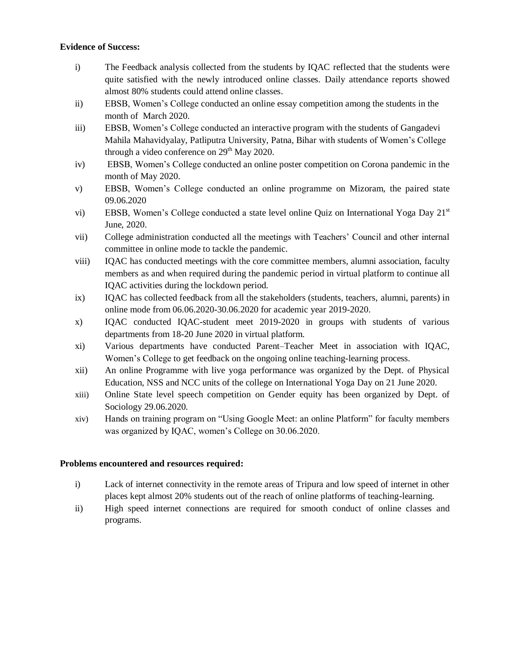### **Evidence of Success:**

- i) The Feedback analysis collected from the students by IQAC reflected that the students were quite satisfied with the newly introduced online classes. Daily attendance reports showed almost 80% students could attend online classes.
- ii) EBSB, Women's College conducted an online essay competition among the students in the month of March 2020.
- iii) EBSB, Women's College conducted an interactive program with the students of Gangadevi Mahila Mahavidyalay, Patliputra University, Patna, Bihar with students of Women's College through a video conference on 29<sup>th</sup> May 2020.
- iv) EBSB, Women's College conducted an online poster competition on Corona pandemic in the month of May 2020.
- v) EBSB, Women's College conducted an online programme on Mizoram, the paired state 09.06.2020
- vi) EBSB, Women's College conducted a state level online Quiz on International Yoga Day 21<sup>st</sup> June, 2020.
- vii) College administration conducted all the meetings with Teachers' Council and other internal committee in online mode to tackle the pandemic.
- viii) IQAC has conducted meetings with the core committee members, alumni association, faculty members as and when required during the pandemic period in virtual platform to continue all IQAC activities during the lockdown period.
- ix) IQAC has collected feedback from all the stakeholders (students, teachers, alumni, parents) in online mode from 06.06.2020-30.06.2020 for academic year 2019-2020.
- x) IQAC conducted IQAC-student meet 2019-2020 in groups with students of various departments from 18-20 June 2020 in virtual platform.
- xi) Various departments have conducted Parent–Teacher Meet in association with IQAC, Women's College to get feedback on the ongoing online teaching-learning process.
- xii) An online Programme with live yoga performance was organized by the Dept. of Physical Education, NSS and NCC units of the college on International Yoga Day on 21 June 2020.
- xiii) Online State level speech competition on Gender equity has been organized by Dept. of Sociology 29.06.2020.
- xiv) Hands on training program on "Using Google Meet: an online Platform" for faculty members was organized by IQAC, women's College on 30.06.2020.

### **Problems encountered and resources required:**

- i) Lack of internet connectivity in the remote areas of Tripura and low speed of internet in other places kept almost 20% students out of the reach of online platforms of teaching-learning.
- ii) High speed internet connections are required for smooth conduct of online classes and programs.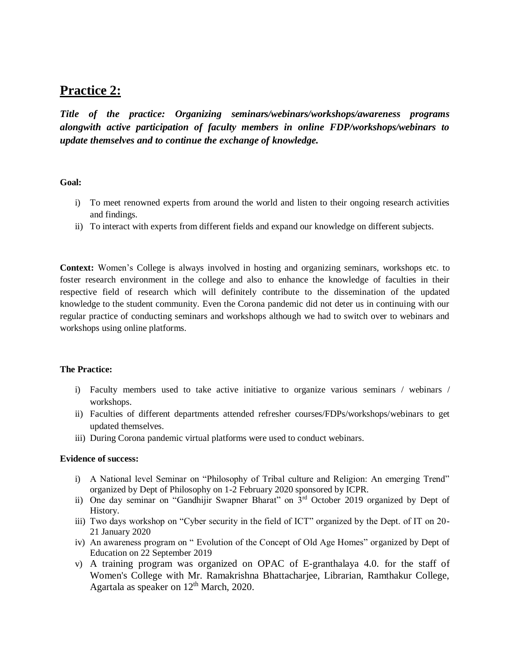### **Practice 2:**

*Title of the practice: Organizing seminars/webinars/workshops/awareness programs alongwith active participation of faculty members in online FDP/workshops/webinars to update themselves and to continue the exchange of knowledge.*

### **Goal:**

- i) To meet renowned experts from around the world and listen to their ongoing research activities and findings.
- ii) To interact with experts from different fields and expand our knowledge on different subjects.

**Context:** Women's College is always involved in hosting and organizing seminars, workshops etc. to foster research environment in the college and also to enhance the knowledge of faculties in their respective field of research which will definitely contribute to the dissemination of the updated knowledge to the student community. Even the Corona pandemic did not deter us in continuing with our regular practice of conducting seminars and workshops although we had to switch over to webinars and workshops using online platforms.

#### **The Practice:**

- i) Faculty members used to take active initiative to organize various seminars / webinars / workshops.
- ii) Faculties of different departments attended refresher courses/FDPs/workshops/webinars to get updated themselves.
- iii) During Corona pandemic virtual platforms were used to conduct webinars.

### **Evidence of success:**

- i) A National level Seminar on "Philosophy of Tribal culture and Religion: An emerging Trend" organized by Dept of Philosophy on 1-2 February 2020 sponsored by ICPR.
- ii) One day seminar on "Gandhijir Swapner Bharat" on 3rd October 2019 organized by Dept of History.
- iii) Two days workshop on "Cyber security in the field of ICT" organized by the Dept. of IT on 20- 21 January 2020
- iv) An awareness program on " Evolution of the Concept of Old Age Homes" organized by Dept of Education on 22 September 2019
- v) A training program was organized on OPAC of E-granthalaya 4.0. for the staff of Women's College with Mr. Ramakrishna Bhattacharjee, Librarian, Ramthakur College, Agartala as speaker on  $12<sup>th</sup>$  March, 2020.